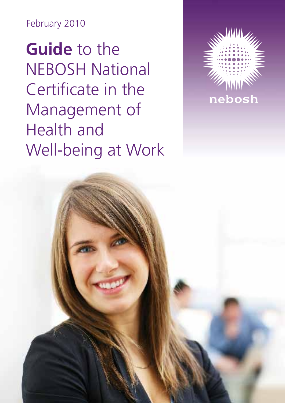February 2010

**Guide** to the NEBOSH National Certificate in the Management of Health and Well-being at Work

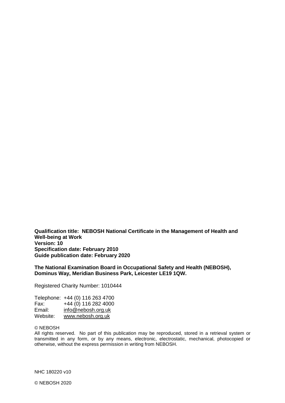**Qualification title: NEBOSH National Certificate in the Management of Health and Well-being at Work Version: 10 Specification date: February 2010 Guide publication date: February 2020**

**The National Examination Board in Occupational Safety and Health (NEBOSH), Dominus Way, Meridian Business Park, Leicester LE19 1QW.** 

Registered Charity Number: 1010444

|          | Telephone: +44 (0) 116 263 4700 |
|----------|---------------------------------|
| Fax:     | +44 (0) 116 282 4000            |
| Email:   | info@nebosh.org.uk              |
| Website: | www.nebosh.org.uk               |

#### © NEBOSH

All rights reserved. No part of this publication may be reproduced, stored in a retrieval system or transmitted in any form, or by any means, electronic, electrostatic, mechanical, photocopied or otherwise, without the express permission in writing from NEBOSH.

NHC 180220 v10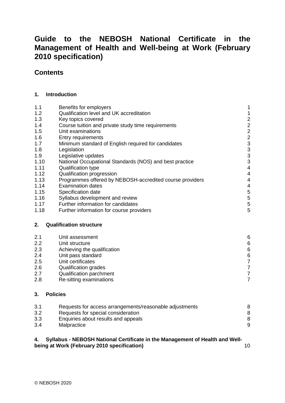## **Contents**

#### **1. [Introduction](#page-4-0)**

| 1.1  | Benefits for employers                                   | 1                          |
|------|----------------------------------------------------------|----------------------------|
| 1.2  | Qualification level and UK accreditation                 | 1                          |
| 1.3  | Key topics covered                                       |                            |
| 1.4  | Course tuition and private study time requirements       |                            |
| 1.5  | Unit examinations                                        | 2<br>2<br>2<br>3<br>3<br>3 |
| 1.6  | Entry requirements                                       |                            |
| 1.7  | Minimum standard of English required for candidates      |                            |
| 1.8  | Legislation                                              |                            |
| 1.9  | Legislative updates                                      | $\frac{3}{3}$              |
| 1.10 | National Occupational Standards (NOS) and best practice  |                            |
| 1.11 | Qualification type                                       | $\overline{4}$             |
| 1.12 | Qualification progression                                | 4                          |
| 1.13 | Programmes offered by NEBOSH-accredited course providers | 4                          |
| 1.14 | <b>Examination dates</b>                                 | 4                          |
| 1.15 | Specification date                                       | 5                          |
| 1.16 | Syllabus development and review                          | 5                          |
| 1.17 | Further information for candidates                       | 5                          |
| 1.18 | Further information for course providers                 | 5                          |
| 2.   | <b>Qualification structure</b>                           |                            |
| 2.1  | Unit assessment                                          | 6                          |
| 2.2  | Unit structure                                           | 6                          |
| 2.3  | Achieving the qualification                              | $\overline{6}$             |
| 2.4  | Unit pass standard                                       |                            |
| 2.5  | Unit certificates                                        | 6<br>7<br>7                |
| 2.6  | Qualification grades                                     |                            |
| 2.7  | Qualification parchment                                  | $\overline{7}$             |
| 2.8  | Re-sitting examinations                                  | $\overline{7}$             |
|      |                                                          |                            |

## **3. [Policies](#page-11-0)**

| 3.1 | Requests for access arrangements/reasonable adjustments | 8 |
|-----|---------------------------------------------------------|---|
| 3.2 | Requests for special consideration                      | 8 |
| 3.3 | Enquiries about results and appeals                     | 8 |
| 3.4 | Malpractice                                             | 9 |

#### **4. Syllabus - [NEBOSH National Certificate in the Management of Health and Well](#page-13-0)[being at Work \(February 2010 specification\)](#page-13-0)** 10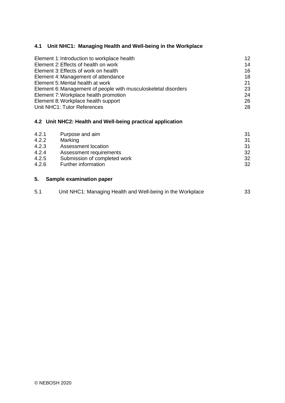## **4.1 [Unit NHC1: Managing Health and Well-being in the Workplace](#page-15-0)**

| Element 1: Introduction to workplace health                    | $12 \overline{ }$ |
|----------------------------------------------------------------|-------------------|
| Element 2: Effects of health on work                           | 14                |
| Element 3: Effects of work on health                           | 16                |
| Element 4: Management of attendance                            | 18                |
| Element 5: Mental health at work                               | 21                |
| Element 6: Management of people with musculoskeletal disorders | 23                |
| Element 7: Workplace health promotion                          | 24                |
| Element 8: Workplace health support                            | 26                |
| Unit NHC1: Tutor References                                    | 28                |
|                                                                |                   |

## **4.2 [Unit NHC2: Health and Well-being practical application](#page-34-0)**

| 4.2.1 | Purpose and aim              | -31 |
|-------|------------------------------|-----|
| 4.2.2 | Marking                      | 31  |
| 4.2.3 | Assessment location          | 31  |
| 4.2.4 | Assessment requirements      | 32  |
| 4.2.5 | Submission of completed work | 32  |
| 4.2.6 | Further information          | 32  |
|       |                              |     |

## **5. [Sample examination paper](#page-36-0)**

| 5.1 | Unit NHC1: Managing Health and Well-being in the Workplace | 33 |
|-----|------------------------------------------------------------|----|
|     |                                                            |    |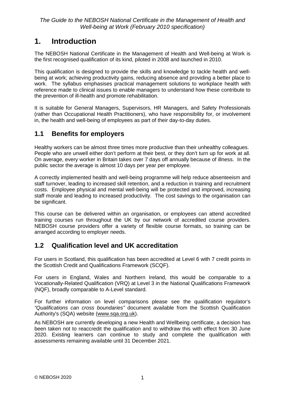# <span id="page-4-0"></span>**1. Introduction**

The NEBOSH National Certificate in the Management of Health and Well-being at Work is the first recognised qualification of its kind, piloted in 2008 and launched in 2010.

This qualification is designed to provide the skills and knowledge to tackle health and wellbeing at work; achieving productivity gains, reducing absence and providing a better place to work. The syllabus emphasises practical management solutions to workplace health with reference made to clinical issues to enable managers to understand how these contribute to the prevention of ill-health and promote rehabilitation.

It is suitable for General Managers, Supervisors, HR Managers, and Safety Professionals (rather than Occupational Health Practitioners), who have responsibility for, or involvement in, the health and well-being of employees as part of their day-to-day duties.

## <span id="page-4-1"></span>**1.1 Benefits for employers**

Healthy workers can be almost three times more productive than their unhealthy colleagues. People who are unwell either don't perform at their best, or they don't turn up for work at all. On average, every worker in Britain takes over 7 days off annually because of illness. In the public sector the average is almost 10 days per year per employee.

A correctly implemented health and well-being programme will help reduce absenteeism and staff turnover, leading to increased skill retention, and a reduction in training and recruitment costs. Employee physical and mental well-being will be protected and improved, increasing staff morale and leading to increased productivity. The cost savings to the organisation can be significant.

This course can be delivered within an organisation, or employees can attend accredited training courses run throughout the UK by our network of accredited course providers. NEBOSH course providers offer a variety of flexible course formats, so training can be arranged according to employer needs.

## <span id="page-4-2"></span>**1.2 Qualification level and UK accreditation**

For users in Scotland, this qualification has been accredited at Level 6 with 7 credit points in the Scottish Credit and Qualifications Framework (SCQF).

For users in England, Wales and Northern Ireland, this would be comparable to a Vocationally-Related Qualification (VRQ) at Level 3 in the National Qualifications Framework (NQF), broadly comparable to A-Level standard.

For further information on level comparisons please see the qualification regulator's *"Qualifications can cross boundaries"* document available from the Scottish Qualification Authority's (SQA) website [\(www.sqa.org.uk\)](http://www.sqa.org.uk/).

As NEBOSH are currently developing a new Health and Wellbeing certificate, a decision has been taken not to reaccredit the qualification and to withdraw this with effect from 30 June 2020. Existing learners can continue to study and complete the qualification with assessments remaining available until 31 December 2021.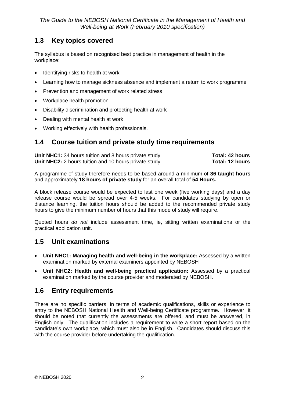# <span id="page-5-0"></span>**1.3 Key topics covered**

The syllabus is based on recognised best practice in management of health in the workplace:

- Identifying risks to health at work
- Learning how to manage sickness absence and implement a return to work programme
- Prevention and management of work related stress
- Workplace health promotion
- Disability discrimination and protecting health at work
- Dealing with mental health at work
- Working effectively with health professionals.

## <span id="page-5-1"></span>**1.4 Course tuition and private study time requirements**

**Unit NHC1:** 34 hours tuition and 8 hours private study **Total: 42 hours**<br> **Unit NHC2:** 2 hours tuition and 10 hours private study **Total: 12 hours Unit NHC2:** 2 hours tuition and 10 hours private study

A programme of study therefore needs to be based around a minimum of **36 taught hours** and approximately **18 hours of private study** for an overall total of **54 Hours.**

A block release course would be expected to last one week (five working days) and a day release course would be spread over 4-5 weeks. For candidates studying by open or distance learning, the tuition hours should be added to the recommended private study hours to give the minimum number of hours that this mode of study will require.

Quoted hours *do not* include assessment time, ie, sitting written examinations or the practical application unit.

# <span id="page-5-2"></span>**1.5 Unit examinations**

- **Unit NHC1: Managing health and well-being in the workplace:** Assessed by a written examination marked by external examiners appointed by NEBOSH
- **Unit NHC2: Health and well-being practical application:** Assessed by a practical examination marked by the course provider and moderated by NEBOSH.

# <span id="page-5-3"></span>**1.6 Entry requirements**

There are no specific barriers, in terms of academic qualifications, skills or experience to entry to the NEBOSH National Health and Well-being Certificate programme. However, it should be noted that currently the assessments are offered, and must be answered, in English only. The qualification includes a requirement to write a short report based on the candidate's own workplace, which must also be in English. Candidates should discuss this with the course provider before undertaking the qualification.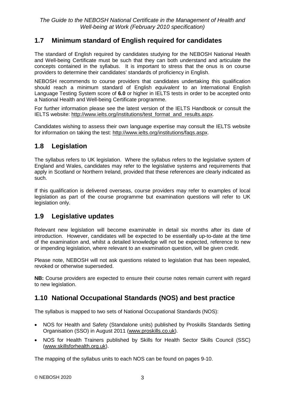## <span id="page-6-0"></span>**1.7 Minimum standard of English required for candidates**

The standard of English required by candidates studying for the NEBOSH National Health and Well-being Certificate must be such that they can both understand and articulate the concepts contained in the syllabus. It is important to stress that the onus is on course providers to determine their candidates' standards of proficiency in English.

NEBOSH recommends to course providers that candidates undertaking this qualification should reach a minimum standard of English *equivalent* to an International English Language Testing System score of **6.0** or higher in IELTS tests in order to be accepted onto a National Health and Well-being Certificate programme.

For further information please see the latest version of the IELTS Handbook or consult the IELTS website: [http://www.ielts.org/institutions/test\\_format\\_and\\_results.aspx.](http://www.ielts.org/institutions/test_format_and_results.aspx)

Candidates wishing to assess their own language expertise may consult the IELTS website for information on taking the test: [http://www.ielts.org/institutions/faqs.aspx.](http://www.ielts.org/institutions/faqs.aspx)

## <span id="page-6-1"></span>**1.8 Legislation**

The syllabus refers to UK legislation. Where the syllabus refers to the legislative system of England and Wales, candidates may refer to the legislative systems and requirements that apply in Scotland or Northern Ireland, provided that these references are clearly indicated as such.

If this qualification is delivered overseas, course providers may refer to examples of local legislation as part of the course programme but examination questions will refer to UK legislation only.

## <span id="page-6-2"></span>**1.9 Legislative updates**

Relevant new legislation will become examinable in detail six months after its date of introduction. However, candidates will be expected to be essentially up-to-date at the time of the examination and, whilst a detailed knowledge will not be expected, reference to new or impending legislation, where relevant to an examination question, will be given credit.

Please note, NEBOSH will not ask questions related to legislation that has been repealed, revoked or otherwise superseded.

**NB:** Course providers are expected to ensure their course notes remain current with regard to new legislation.

## <span id="page-6-3"></span>**1.10 National Occupational Standards (NOS) and best practice**

The syllabus is mapped to two sets of National Occupational Standards (NOS):

- NOS for Health and Safety (Standalone units) published by Proskills Standards Setting Organisation (SSO) in August 2011 [\(www.proskills.co.uk\)](http://www.proskills.co.uk/).
- NOS for Health Trainers published by Skills for Health Sector Skills Council (SSC) [\(www.skillsforhealth.org.uk\)](http://www.skillsforhealth.org.uk/).

The mapping of the syllabus units to each NOS can be found on pages 9-10.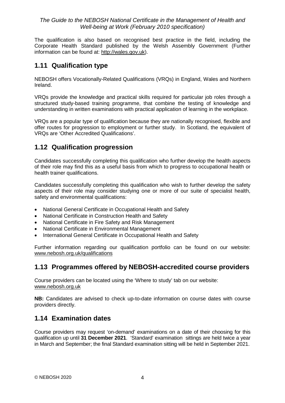The qualification is also based on recognised best practice in the field, including the Corporate Health Standard published by the Welsh Assembly Government (Further information can be found at: [http://wales.gov.uk\)](http://wales.gov.uk/).

## <span id="page-7-0"></span>**1.11 Qualification type**

NEBOSH offers Vocationally-Related Qualifications (VRQs) in England, Wales and Northern Ireland.

VRQs provide the knowledge and practical skills required for particular job roles through a structured study-based training programme, that combine the testing of knowledge and understanding in written examinations with practical application of learning in the workplace.

VRQs are a popular type of qualification because they are nationally recognised, flexible and offer routes for progression to employment or further study. In Scotland, the equivalent of VRQs are 'Other Accredited Qualifications'.

# <span id="page-7-1"></span>**1.12 Qualification progression**

Candidates successfully completing this qualification who further develop the health aspects of their role may find this as a useful basis from which to progress to occupational health or health trainer qualifications.

Candidates successfully completing this qualification who wish to further develop the safety aspects of their role may consider studying one or more of our suite of specialist health, safety and environmental qualifications:

- National General Certificate in Occupational Health and Safety
- National Certificate in Construction Health and Safety
- National Certificate in Fire Safety and Risk Management
- National Certificate in Environmental Management
- International General Certificate in Occupational Health and Safety

Further information regarding our qualification portfolio can be found on our website: [www.nebosh.org.uk/qualifications](http://www.nebosh.org.uk/qualifications)

## <span id="page-7-2"></span>**1.13 Programmes offered by NEBOSH-accredited course providers**

Course providers can be located using the 'Where to study' tab on our website: [www.nebosh.org.uk](http://www.nebosh.org.uk/Studying/default.asp?cref=3&ct=2)

**NB:** Candidates are advised to check up-to-date information on course dates with course providers directly.

# <span id="page-7-3"></span>**1.14 Examination dates**

Course providers may request 'on-demand' examinations on a date of their choosing for this qualification up until **31 December 2021**. 'Standard' examination sittings are held twice a year in March and September; the final Standard examination sitting will be held in September 2021.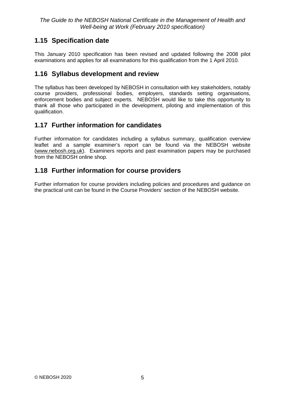# <span id="page-8-0"></span>**1.15 Specification date**

This January 2010 specification has been revised and updated following the 2008 pilot examinations and applies for all examinations for this qualification from the 1 April 2010.

## <span id="page-8-1"></span>**1.16 Syllabus development and review**

The syllabus has been developed by NEBOSH in consultation with key stakeholders, notably course providers, professional bodies, employers, standards setting organisations, enforcement bodies and subject experts. NEBOSH would like to take this opportunity to thank all those who participated in the development, piloting and implementation of this qualification.

## <span id="page-8-2"></span>**1.17 Further information for candidates**

Further information for candidates including a syllabus summary, qualification overview leaflet and a sample examiner's report can be found via the NEBOSH website [\(www.nebosh.org.uk\)](http://www.nebosh.org.uk/). Examiners reports and past examination papers may be purchased from the NEBOSH online shop.

## <span id="page-8-3"></span>**1.18 Further information for course providers**

Further information for course providers including policies and procedures and guidance on the practical unit can be found in the Course Providers' section of the NEBOSH website.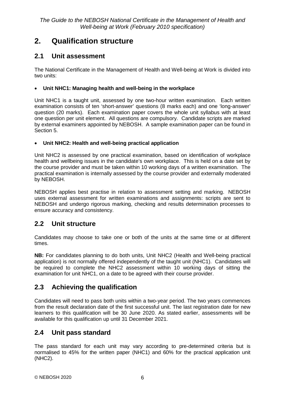# <span id="page-9-0"></span>**2. Qualification structure**

## <span id="page-9-1"></span>**2.1 Unit assessment**

The National Certificate in the Management of Health and Well-being at Work is divided into two units:

### • **Unit NHC1: Managing health and well-being in the workplace**

Unit NHC1 is a taught unit, assessed by one two-hour written examination. Each written examination consists of ten 'short-answer' questions (8 marks each) and one 'long-answer' question (20 marks). Each examination paper covers the whole unit syllabus with at least one question per unit element. All questions are compulsory. Candidate scripts are marked by external examiners appointed by NEBOSH. A sample examination paper can be found in Section 5.

### • **Unit NHC2: Health and well-being practical application**

Unit NHC2 is assessed by one practical examination, based on identification of workplace health and wellbeing issues in the candidate's own workplace. This is held on a date set by the course provider and must be taken within 10 working days of a written examination. The practical examination is internally assessed by the course provider and externally moderated by NEBOSH.

NEBOSH applies best practise in relation to assessment setting and marking. NEBOSH uses external assessment for written examinations and assignments: scripts are sent to NEBOSH and undergo rigorous marking, checking and results determination processes to ensure accuracy and consistency.

# <span id="page-9-2"></span>**2.2 Unit structure**

Candidates may choose to take one or both of the units at the same time or at different times.

**NB:** For candidates planning to do both units, Unit NHC2 (Health and Well-being practical application) is not normally offered independently of the taught unit (NHC1). Candidates will be required to complete the NHC2 assessment within 10 working days of sitting the examination for unit NHC1, on a date to be agreed with their course provider.

# <span id="page-9-3"></span>**2.3 Achieving the qualification**

Candidates will need to pass both units within a two-year period. The two years commences from the result declaration date of the first successful unit. The last registration date for new learners to this qualification will be 30 June 2020. As stated earlier, assessments will be available for this qualification up until 31 December 2021.

# <span id="page-9-4"></span>**2.4 Unit pass standard**

The pass standard for each unit may vary according to pre-determined criteria but is normalised to 45% for the written paper (NHC1) and 60% for the practical application unit (NHC2).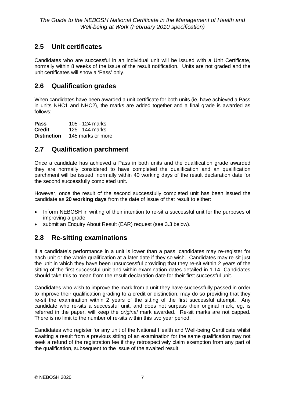# <span id="page-10-0"></span>**2.5 Unit certificates**

Candidates who are successful in an individual unit will be issued with a Unit Certificate, normally within 8 weeks of the issue of the result notification. Units are not graded and the unit certificates will show a 'Pass' only.

## <span id="page-10-1"></span>**2.6 Qualification grades**

When candidates have been awarded a unit certificate for both units (ie, have achieved a Pass in units NHC1 and NHC2), the marks are added together and a final grade is awarded as follows:

**Pass** 105 - 124 marks **Credit** 125 - 144 marks<br>**Distinction** 145 marks or mo 145 marks or more

## <span id="page-10-2"></span>**2.7 Qualification parchment**

Once a candidate has achieved a Pass in both units and the qualification grade awarded they are normally considered to have completed the qualification and an qualification parchment will be issued, normally within 40 working days of the result declaration date for the second successfully completed unit.

However, once the result of the second successfully completed unit has been issued the candidate as **20 working days** from the date of issue of that result to either:

- Inform NEBOSH in writing of their intention to re-sit a successful unit for the purposes of improving a grade
- submit an Enquiry About Result (EAR) request (see 3.3 below).

# <span id="page-10-3"></span>**2.8 Re-sitting examinations**

If a candidate's performance in a unit is lower than a pass, candidates may re-register for each unit or the whole qualification at a later date if they so wish. Candidates may re-sit just the unit in which they have been unsuccessful providing that they re-sit within 2 years of the sitting of the first successful unit and within examination dates detailed in 1.14 Candidates should take this to mean from the result declaration date for their first successful unit.

Candidates who wish to improve the mark from a unit they have successfully passed in order to improve their qualification grading to a credit or distinction, may do so providing that they re-sit the examination within 2 years of the sitting of the first successful attempt. Any candidate who re-sits a successful unit, and does not surpass their original mark, eg, is referred in the paper, will keep the *original* mark awarded. Re-sit marks are not capped. There is no limit to the number of re-sits within this two year period.

Candidates who register for any unit of the National Health and Well-being Certificate whilst awaiting a result from a previous sitting of an examination for the same qualification may not seek a refund of the registration fee if they retrospectively claim exemption from any part of the qualification, subsequent to the issue of the awaited result.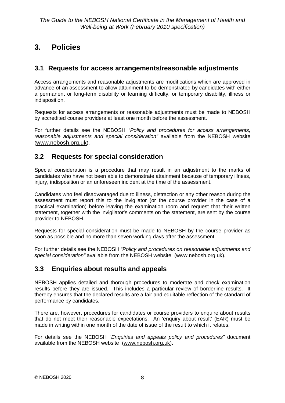# <span id="page-11-0"></span>**3. Policies**

## <span id="page-11-1"></span>**3.1 Requests for access arrangements/reasonable adjustments**

Access arrangements and reasonable adjustments are modifications which are approved in advance of an assessment to allow attainment to be demonstrated by candidates with either a permanent or long-term disability or learning difficulty, or temporary disability, illness or indisposition.

Requests for access arrangements or reasonable adjustments must be made to NEBOSH by accredited course providers at least one month before the assessment.

For further details see the NEBOSH *"Policy and procedures for access arrangements, reasonable adjustments and special consideration"* available from the NEBOSH website [\(www.nebosh.org.uk\)](http://www.nebosh.org.uk/).

## <span id="page-11-2"></span>**3.2 Requests for special consideration**

Special consideration is a procedure that may result in an adjustment to the marks of candidates who have not been able to demonstrate attainment because of temporary illness, injury, indisposition or an unforeseen incident at the time of the assessment.

Candidates who feel disadvantaged due to illness, distraction or any other reason during the assessment must report this to the invigilator (or the course provider in the case of a practical examination) before leaving the examination room and request that their written statement, together with the invigilator's comments on the statement, are sent by the course provider to NEBOSH.

Requests for special consideration must be made to NEBOSH by the course provider as soon as possible and no more than seven working days after the assessment.

For further details see the NEBOSH *"Policy and procedures on reasonable adjustments and special consideration"* available from the NEBOSH website [\(www.nebosh.org.uk\)](http://www.nebosh.org.uk/).

## <span id="page-11-3"></span>**3.3 Enquiries about results and appeals**

NEBOSH applies detailed and thorough procedures to moderate and check examination results before they are issued. This includes a particular review of borderline results. It thereby ensures that the declared results are a fair and equitable reflection of the standard of performance by candidates.

There are, however, procedures for candidates or course providers to enquire about results that do not meet their reasonable expectations. An 'enquiry about result' (EAR) must be made in writing within one month of the date of issue of the result to which it relates.

For details see the NEBOSH *"Enquiries and appeals policy and procedures"* document available from the NEBOSH website [\(www.nebosh.org.uk\)](http://www.nebosh.org.uk/).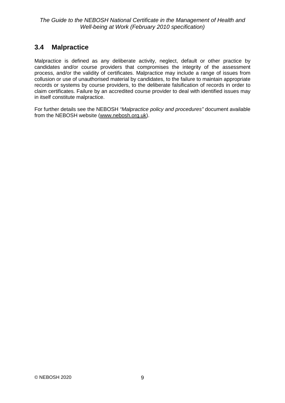# <span id="page-12-0"></span>**3.4 Malpractice**

Malpractice is defined as any deliberate activity, neglect, default or other practice by candidates and/or course providers that compromises the integrity of the assessment process, and/or the validity of certificates. Malpractice may include a range of issues from collusion or use of unauthorised material by candidates, to the failure to maintain appropriate records or systems by course providers, to the deliberate falsification of records in order to claim certificates. Failure by an accredited course provider to deal with identified issues may in itself constitute malpractice.

For further details see the NEBOSH *"Malpractice policy and procedures"* document available from the NEBOSH website [\(www.nebosh.org.uk\)](http://www.nebosh.org.uk/).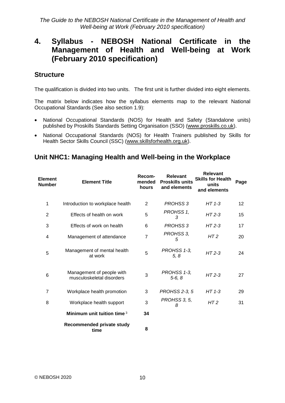# <span id="page-13-0"></span>**4. Syllabus - NEBOSH National Certificate in the Management of Health and Well-being at Work (February 2010 specification)**

## **Structure**

The qualification is divided into two units. The first unit is further divided into eight elements.

The matrix below indicates how the syllabus elements map to the relevant National Occupational Standards (See also section 1.9):

- National Occupational Standards (NOS) for Health and Safety (Standalone units) published by Proskills Standards Setting Organisation (SSO) [\(www.proskills.co.uk\)](http://www.proskills.co.uk/).
- National Occupational Standards (NOS) for Health Trainers published by Skills for Health Sector Skills Council (SSC) [\(www.skillsforhealth.org.uk\)](http://www.skillsforhealth.org.uk/).

## **Unit NHC1: Managing Health and Well-being in the Workplace**

| <b>Element</b><br><b>Number</b> | <b>Element Title</b>                                   | Recom-<br>mended<br>hours | <b>Relevant</b><br><b>Proskills units</b><br>and elements | <b>Relevant</b><br><b>Skills for Health</b><br>units<br>and elements | Page |
|---------------------------------|--------------------------------------------------------|---------------------------|-----------------------------------------------------------|----------------------------------------------------------------------|------|
| 1                               | Introduction to workplace health                       | 2                         | <b>PROHSS 3</b>                                           | $HT 1-3$                                                             | 12   |
| $\overline{2}$                  | Effects of health on work                              | 5                         | PROHSS 1,<br>3                                            | $HT2-3$                                                              | 15   |
| 3                               | Effects of work on health                              | 6                         | <b>PROHSS 3</b>                                           | $HT2-3$                                                              | 17   |
| 4                               | Management of attendance                               | $\overline{7}$            | PROHSS 3,<br>5                                            | HT <sub>2</sub>                                                      | 20   |
| 5                               | Management of mental health<br>at work                 | 5                         | PROHSS 1-3,<br>5, 8                                       | $HT2-3$                                                              | 24   |
| $6\phantom{1}6$                 | Management of people with<br>musculoskeletal disorders | 3                         | PROHSS 1-3,<br>$5-6, 8$                                   | $HT2-3$                                                              | 27   |
| $\overline{7}$                  | Workplace health promotion                             | 3                         | <b>PROHSS 2-3, 5</b>                                      | $HT 1-3$                                                             | 29   |
| 8                               | Workplace health support                               | 3                         | PROHSS 3, 5,<br>8                                         | HT <sub>2</sub>                                                      | 31   |
|                                 | Minimum unit tuition time 3                            | 34                        |                                                           |                                                                      |      |
|                                 | Recommended private study<br>time                      | 8                         |                                                           |                                                                      |      |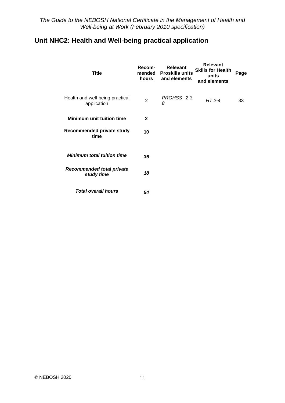# **Unit NHC2: Health and Well-being practical application**

| <b>Title</b>                                   | Recom-<br>mended<br>hours | <b>Relevant</b><br><b>Proskills units</b><br>and elements | <b>Relevant</b><br><b>Skills for Health</b><br>units<br>and elements | Page |
|------------------------------------------------|---------------------------|-----------------------------------------------------------|----------------------------------------------------------------------|------|
| Health and well-being practical<br>application | $\overline{2}$            | PROHSS 2-3,<br>8                                          | $HT$ 2-4                                                             | 33   |
| <b>Minimum unit tuition time</b>               | $\mathbf{2}$              |                                                           |                                                                      |      |
| Recommended private study<br>time              | 10                        |                                                           |                                                                      |      |
| <b>Minimum total tuition time</b>              | 36                        |                                                           |                                                                      |      |
| <b>Recommended total private</b><br>study time | 18                        |                                                           |                                                                      |      |
| <b>Total overall hours</b>                     | 54                        |                                                           |                                                                      |      |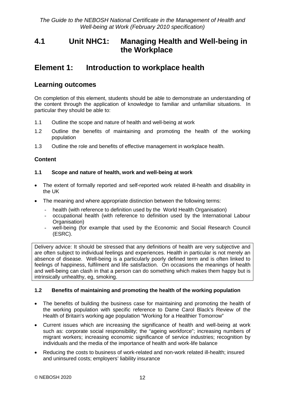# <span id="page-15-0"></span>**4.1 Unit NHC1: Managing Health and Well-being in the Workplace**

# <span id="page-15-1"></span>**Element 1: Introduction to workplace health**

## **Learning outcomes**

On completion of this element, students should be able to demonstrate an understanding of the content through the application of knowledge to familiar and unfamiliar situations. In particular they should be able to:

- 1.1 Outline the scope and nature of health and well-being at work
- 1.2 Outline the benefits of maintaining and promoting the health of the working population
- 1.3 Outline the role and benefits of effective management in workplace health.

## **Content**

#### **1.1 Scope and nature of health, work and well-being at work**

- The extent of formally reported and self-reported work related ill-health and disability in the UK
- The meaning and where appropriate distinction between the following terms:
	- health (with reference to definition used by the World Health Organisation)
	- occupational health (with reference to definition used by the International Labour Organisation)
	- well-being (for example that used by the Economic and Social Research Council (ESRC).

Delivery advice: It should be stressed that any definitions of health are very subjective and are often subject to individual feelings and experiences. Health in particular is not merely an absence of disease. Well-being is a particularly poorly defined term and is often linked to feelings of happiness, fulfilment and life satisfaction. On occasions the meanings of health and well-being can clash in that a person can do something which makes them happy but is intrinsically unhealthy, eg, smoking.

#### **1.2 Benefits of maintaining and promoting the health of the working population**

- The benefits of building the business case for maintaining and promoting the health of the working population with specific reference to Dame Carol Black's Review of the Health of Britain's working age population "Working for a Healthier Tomorrow"
- Current issues which are increasing the significance of health and well-being at work such as: corporate social responsibility; the "ageing workforce"; increasing numbers of migrant workers; increasing economic significance of service industries; recognition by individuals and the media of the importance of health and work-life balance
- Reducing the costs to business of work-related and non-work related ill-health; insured and uninsured costs; employers' liability insurance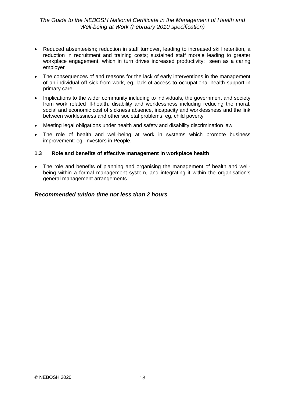- Reduced absenteeism; reduction in staff turnover, leading to increased skill retention, a reduction in recruitment and training costs; sustained staff morale leading to greater workplace engagement, which in turn drives increased productivity; seen as a caring employer
- The consequences of and reasons for the lack of early interventions in the management of an individual off sick from work, eg, lack of access to occupational health support in primary care
- Implications to the wider community including to individuals, the government and society from work related ill-health, disability and worklessness including reducing the moral, social and economic cost of sickness absence, incapacity and worklessness and the link between worklessness and other societal problems, eg, child poverty
- Meeting legal obligations under health and safety and disability discrimination law
- The role of health and well-being at work in systems which promote business improvement: eg, Investors in People.

#### **1.3 Role and benefits of effective management in workplace health**

• The role and benefits of planning and organising the management of health and wellbeing within a formal management system, and integrating it within the organisation's general management arrangements.

#### *Recommended tuition time not less than 2 hours*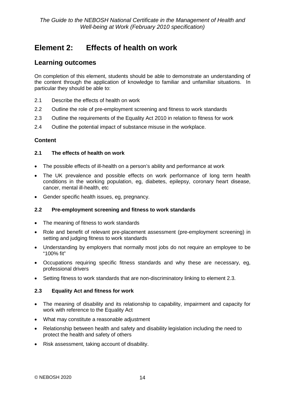# <span id="page-17-0"></span>**Element 2: Effects of health on work**

## **Learning outcomes**

On completion of this element, students should be able to demonstrate an understanding of the content through the application of knowledge to familiar and unfamiliar situations. In particular they should be able to:

- 2.1 Describe the effects of health on work
- 2.2 Outline the role of pre-employment screening and fitness to work standards
- 2.3 Outline the requirements of the Equality Act 2010 in relation to fitness for work
- 2.4 Outline the potential impact of substance misuse in the workplace.

## **Content**

#### **2.1 The effects of health on work**

- The possible effects of ill-health on a person's ability and performance at work
- The UK prevalence and possible effects on work performance of long term health conditions in the working population, eg, diabetes, epilepsy, coronary heart disease, cancer, mental ill-health, etc
- Gender specific health issues, eg, pregnancy.

### **2.2 Pre-employment screening and fitness to work standards**

- The meaning of fitness to work standards
- Role and benefit of relevant pre-placement assessment (pre-employment screening) in setting and judging fitness to work standards
- Understanding by employers that normally most jobs do not require an employee to be "100% fit"
- Occupations requiring specific fitness standards and why these are necessary, eg, professional drivers
- Setting fitness to work standards that are non-discriminatory linking to element 2.3.

### **2.3 Equality Act and fitness for work**

- The meaning of disability and its relationship to capability, impairment and capacity for work with reference to the Equality Act
- What may constitute a reasonable adjustment
- Relationship between health and safety and disability legislation including the need to protect the health and safety of others
- Risk assessment, taking account of disability.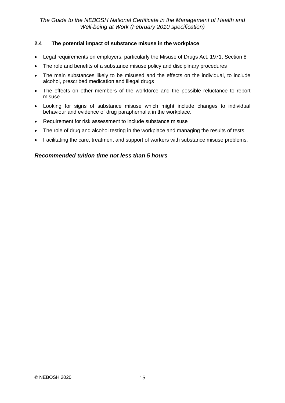#### **2.4 The potential impact of substance misuse in the workplace**

- Legal requirements on employers, particularly the Misuse of Drugs Act, 1971, Section 8
- The role and benefits of a substance misuse policy and disciplinary procedures
- The main substances likely to be misused and the effects on the individual, to include alcohol, prescribed medication and illegal drugs
- The effects on other members of the workforce and the possible reluctance to report misuse
- Looking for signs of substance misuse which might include changes to individual behaviour and evidence of drug paraphernalia in the workplace.
- Requirement for risk assessment to include substance misuse
- The role of drug and alcohol testing in the workplace and managing the results of tests
- Facilitating the care, treatment and support of workers with substance misuse problems.

### *Recommended tuition time not less than 5 hours*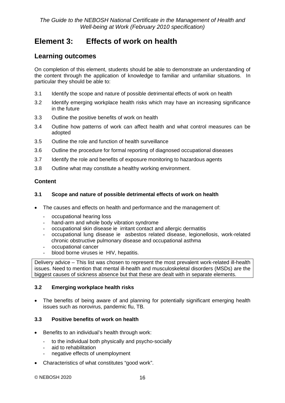# <span id="page-19-0"></span>**Element 3: Effects of work on health**

## **Learning outcomes**

On completion of this element, students should be able to demonstrate an understanding of the content through the application of knowledge to familiar and unfamiliar situations. In particular they should be able to:

- 3.1 Identify the scope and nature of possible detrimental effects of work on health
- 3.2 Identify emerging workplace health risks which may have an increasing significance in the future
- 3.3 Outline the positive benefits of work on health
- 3.4 Outline how patterns of work can affect health and what control measures can be adopted
- 3.5 Outline the role and function of health surveillance
- 3.6 Outline the procedure for formal reporting of diagnosed occupational diseases
- 3.7 Identify the role and benefits of exposure monitoring to hazardous agents
- 3.8 Outline what may constitute a healthy working environment.

## **Content**

#### **3.1 Scope and nature of possible detrimental effects of work on health**

- The causes and effects on health and performance and the management of:
	- occupational hearing loss<br>- hand-arm and whole body
	- hand-arm and whole body vibration syndrome
	- occupational skin disease ie irritant contact and allergic dermatitis
	- occupational lung disease ie asbestos related disease, legionellosis, work-related chronic obstructive pulmonary disease and occupational asthma
	- occupational cancer
	- blood borne viruses ie HIV, hepatitis.

Delivery advice – This list was chosen to represent the most prevalent work-related ill-health issues. Need to mention that mental ill-health and musculoskeletal disorders (MSDs) are the biggest causes of sickness absence but that these are dealt with in separate elements.

#### **3.2 Emerging workplace health risks**

• The benefits of being aware of and planning for potentially significant emerging health issues such as norovirus, pandemic flu, TB.

### **3.3 Positive benefits of work on health**

- Benefits to an individual's health through work:
	- to the individual both physically and psycho-socially
	- aid to rehabilitation
	- negative effects of unemployment
- Characteristics of what constitutes "good work".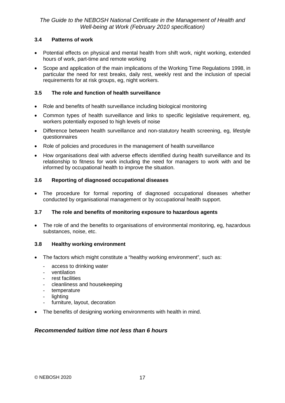### **3.4 Patterns of work**

- Potential effects on physical and mental health from shift work, night working, extended hours of work, part-time and remote working
- Scope and application of the main implications of the Working Time Regulations 1998, in particular the need for rest breaks, daily rest, weekly rest and the inclusion of special requirements for at risk groups, eg, night workers.

## **3.5 The role and function of health surveillance**

- Role and benefits of health surveillance including biological monitoring
- Common types of health surveillance and links to specific legislative requirement, eg, workers potentially exposed to high levels of noise
- Difference between health surveillance and non-statutory health screening, eg, lifestyle questionnaires
- Role of policies and procedures in the management of health surveillance
- How organisations deal with adverse effects identified during health surveillance and its relationship to fitness for work including the need for managers to work with and be informed by occupational health to improve the situation.

## **3.6 Reporting of diagnosed occupational diseases**

• The procedure for formal reporting of diagnosed occupational diseases whether conducted by organisational management or by occupational health support.

### **3.7 The role and benefits of monitoring exposure to hazardous agents**

• The role of and the benefits to organisations of environmental monitoring, eg, hazardous substances, noise, etc.

### **3.8 Healthy working environment**

- The factors which might constitute a "healthy working environment", such as:
	- access to drinking water
	- ventilation
	- rest facilities
	- cleanliness and housekeeping
	- temperature
	- lighting
	- furniture, layout, decoration
- The benefits of designing working environments with health in mind.

### *Recommended tuition time not less than 6 hours*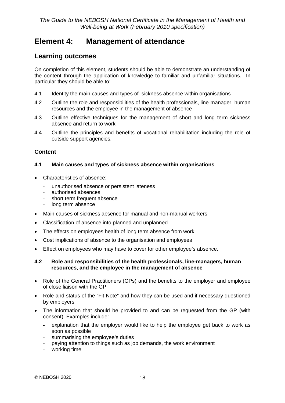# <span id="page-21-0"></span>**Element 4: Management of attendance**

## **Learning outcomes**

On completion of this element, students should be able to demonstrate an understanding of the content through the application of knowledge to familiar and unfamiliar situations. In particular they should be able to:

- 4.1 Identity the main causes and types of sickness absence within organisations
- 4.2 Outline the role and responsibilities of the health professionals, line-manager, human resources and the employee in the management of absence
- 4.3 Outline effective techniques for the management of short and long term sickness absence and return to work
- 4.4 Outline the principles and benefits of vocational rehabilitation including the role of outside support agencies.

### **Content**

#### **4.1 Main causes and types of sickness absence within organisations**

- Characteristics of absence:
	- unauthorised absence or persistent lateness
	- authorised absences
	- short term frequent absence
	- long term absence
- Main causes of sickness absence for manual and non-manual workers
- Classification of absence into planned and unplanned
- The effects on employees health of long term absence from work
- Cost implications of absence to the organisation and employees
- Effect on employees who may have to cover for other employee's absence.

#### **4.2 Role and responsibilities of the health professionals, line-managers, human resources, and the employee in the management of absence**

- Role of the General Practitioners (GPs) and the benefits to the employer and employee of close liaison with the GP
- Role and status of the "Fit Note" and how they can be used and if necessary questioned by employers
- The information that should be provided to and can be requested from the GP (with consent). Examples include:
	- explanation that the employer would like to help the employee get back to work as soon as possible
	- summarising the employee's duties
	- paying attention to things such as job demands, the work environment
	- working time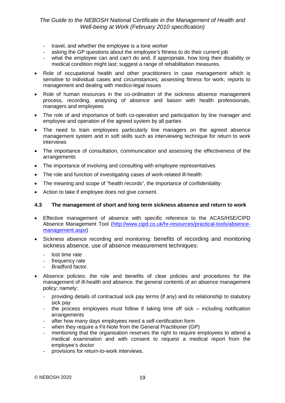- travel, and whether the employee is a lone worker
- asking the GP questions about the employee's fitness to do their current job
- what the employee can and can't do and, if appropriate, how long their disability or medical condition might last; suggest a range of rehabilitation measures.
- Role of occupational health and other practitioners in case management which is sensitive to individual cases and circumstances; assessing fitness for work; reports to management and dealing with medico-legal issues
- Role of human resources in the co-ordination of the sickness absence management process, recording, analysing of absence and liaison with health professionals, managers and employees
- The role of and importance of both co-operation and participation by line manager and employee and operation of the agreed system by all parties
- The need to train employees particularly line managers on the agreed absence management system and in soft skills such as interviewing technique for return to work interviews
- The importance of consultation, communication and assessing the effectiveness of the arrangements
- The importance of involving and consulting with employee representatives
- The role and function of investigating cases of work-related ill-health
- The meaning and scope of "health records", the importance of confidentiality
- Action to take if employee does not give consent.

#### **4.3 The management of short and long term sickness absence and return to work**

- Effective management of absence with specific reference to the ACAS/HSE/CIPD Absence Management Tool [\(http://www.cipd.co.uk/hr-resources/practical-tools/absence](http://www.cipd.co.uk/hr-resources/practical-tools/absence-management.aspx)[management.aspx\)](http://www.cipd.co.uk/hr-resources/practical-tools/absence-management.aspx)
- Sickness absence recording and monitoring: benefits of recording and monitoring sickness absence, use of absence measurement techniques:
	- lost time rate
	- frequency rate
	- Bradford factor.
- Absence policies: the role and benefits of clear policies and procedures for the management of ill-health and absence. the general contents of an absence management policy; namely:
	- providing details of contractual sick pay terms (if any) and its relationship to statutory sick pay
	- the process employees must follow if taking time off sick including notification arrangements
	- after how many days employees need a self-certification form
	- when they require a Fit-Note from the General Practitioner (GP)
	- mentioning that the organisation reserves the right to require employees to attend a medical examination and with consent to request a medical report from the employee's doctor
	- provisions for return-to-work interviews.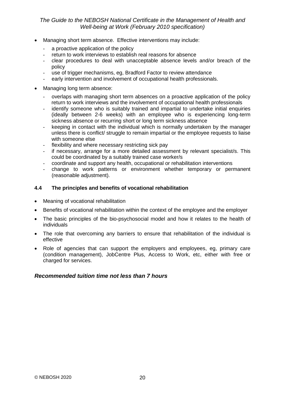- Managing short term absence. Effective interventions may include:
	- a proactive application of the policy
	- return to work interviews to establish real reasons for absence
	- clear procedures to deal with unacceptable absence levels and/or breach of the policy
	- use of trigger mechanisms, eg, Bradford Factor to review attendance
	- early intervention and involvement of occupational health professionals.
- Managing long term absence:
	- overlaps with managing short term absences on a proactive application of the policy return to work interviews and the involvement of occupational health professionals
	- identify someone who is suitably trained and impartial to undertake initial enquiries (ideally between 2-6 weeks) with an employee who is experiencing long-term sickness absence or recurring short or long term sickness absence
	- keeping in contact with the individual which is normally undertaken by the manager unless there is conflict/ struggle to remain impartial or the employee requests to liaise with someone else
	- flexibility and where necessary restricting sick pay
	- if necessary, arrange for a more detailed assessment by relevant specialist/s. This could be coordinated by a suitably trained case worker/s
	- coordinate and support any health, occupational or rehabilitation interventions
	- change to work patterns or environment whether temporary or permanent (reasonable adjustment).

#### **4.4 The principles and benefits of vocational rehabilitation**

- Meaning of vocational rehabilitation
- Benefits of vocational rehabilitation within the context of the employee and the employer
- The basic principles of the bio-psychosocial model and how it relates to the health of individuals
- The role that overcoming any barriers to ensure that rehabilitation of the individual is effective
- Role of agencies that can support the employers and employees, eg, primary care (condition management), JobCentre Plus, Access to Work, etc, either with free or charged for services.

#### *Recommended tuition time not less than 7 hours*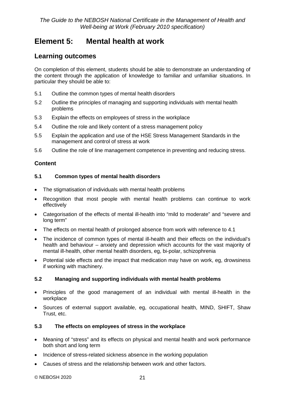# <span id="page-24-0"></span>**Element 5: Mental health at work**

## **Learning outcomes**

On completion of this element, students should be able to demonstrate an understanding of the content through the application of knowledge to familiar and unfamiliar situations. In particular they should be able to:

- 5.1 Outline the common types of mental health disorders
- 5.2 Outline the principles of managing and supporting individuals with mental health problems
- 5.3 Explain the effects on employees of stress in the workplace
- 5.4 Outline the role and likely content of a stress management policy
- 5.5 Explain the application and use of the HSE Stress Management Standards in the management and control of stress at work
- 5.6 Outline the role of line management competence in preventing and reducing stress.

## **Content**

### **5.1 Common types of mental health disorders**

- The stigmatisation of individuals with mental health problems
- Recognition that most people with mental health problems can continue to work effectively
- Categorisation of the effects of mental ill-health into "mild to moderate" and "severe and long term"
- The effects on mental health of prolonged absence from work with reference to 4.1
- The incidence of common types of mental ill-health and their effects on the individual's health and behaviour – anxiety and depression which accounts for the vast majority of mental ill-health, other mental health disorders, eg, bi-polar, schizophrenia
- Potential side effects and the impact that medication may have on work, eg, drowsiness if working with machinery.

### **5.2 Managing and supporting individuals with mental health problems**

- Principles of the good management of an individual with mental ill-health in the workplace
- Sources of external support available, eg, occupational health, MIND, SHIFT, Shaw Trust, etc.

### **5.3 The effects on employees of stress in the workplace**

- Meaning of "stress" and its effects on physical and mental health and work performance both short and long term
- Incidence of stress-related sickness absence in the working population
- Causes of stress and the relationship between work and other factors.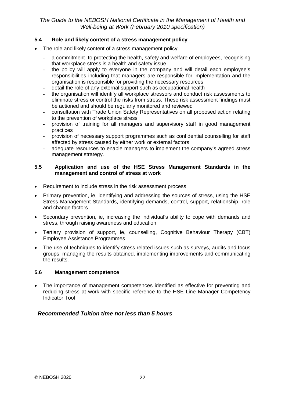#### **5.4 Role and likely content of a stress management policy**

- The role and likely content of a stress management policy:
	- a commitment to protecting the health, safety and welfare of employees, recognising that workplace stress is a health and safety issue
	- the policy will apply to everyone in the company and will detail each employee's responsibilities including that managers are responsible for implementation and the organisation is responsible for providing the necessary resources
	- detail the role of any external support such as occupational health
	- the organisation will identify all workplace stressors and conduct risk assessments to eliminate stress or control the risks from stress. These risk assessment findings must be actioned and should be regularly monitored and reviewed
	- consultation with Trade Union Safety Representatives on all proposed action relating to the prevention of workplace stress
	- provision of training for all managers and supervisory staff in good management practices
	- provision of necessary support programmes such as confidential counselling for staff affected by stress caused by either work or external factors
	- adequate resources to enable managers to implement the company's agreed stress management strategy.

#### **5.5 Application and use of the HSE Stress Management Standards in the management and control of stress at work**

- Requirement to include stress in the risk assessment process
- Primary prevention, ie, identifying and addressing the sources of stress, using the HSE Stress Management Standards, identifying demands, control, support, relationship, role and change factors
- Secondary prevention, ie, increasing the individual's ability to cope with demands and stress, through raising awareness and education
- Tertiary provision of support, ie, counselling, Cognitive Behaviour Therapy (CBT) Employee Assistance Programmes
- The use of techniques to identify stress related issues such as surveys, audits and focus groups; managing the results obtained, implementing improvements and communicating the results.

#### **5.6 Management competence**

• The importance of management competences identified as effective for preventing and reducing stress at work with specific reference to the HSE Line Manager Competency Indicator Tool

### *Recommended Tuition time not less than 5 hours*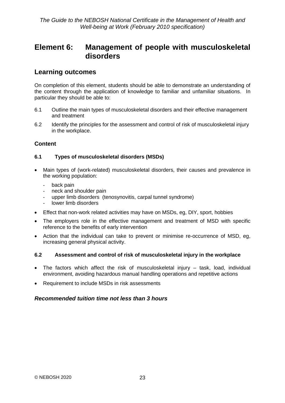# <span id="page-26-0"></span>**Element 6: Management of people with musculoskeletal disorders**

## **Learning outcomes**

On completion of this element, students should be able to demonstrate an understanding of the content through the application of knowledge to familiar and unfamiliar situations. In particular they should be able to:

- 6.1 Outline the main types of musculoskeletal disorders and their effective management and treatment
- 6.2 Identify the principles for the assessment and control of risk of musculoskeletal injury in the workplace.

## **Content**

#### **6.1 Types of musculoskeletal disorders (MSDs)**

- Main types of (work-related) musculoskeletal disorders, their causes and prevalence in the working population:
	- back pain
	- neck and shoulder pain
	- upper limb disorders (tenosynovitis, carpal tunnel syndrome)
	- lower limb disorders
- Effect that non-work related activities may have on MSDs, eg, DIY, sport, hobbies
- The employers role in the effective management and treatment of MSD with specific reference to the benefits of early intervention
- Action that the individual can take to prevent or minimise re-occurrence of MSD, eg, increasing general physical activity.

#### **6.2 Assessment and control of risk of musculoskeletal injury in the workplace**

- The factors which affect the risk of musculoskeletal injury task, load, individual environment, avoiding hazardous manual handling operations and repetitive actions
- Requirement to include MSDs in risk assessments

## *Recommended tuition time not less than 3 hours*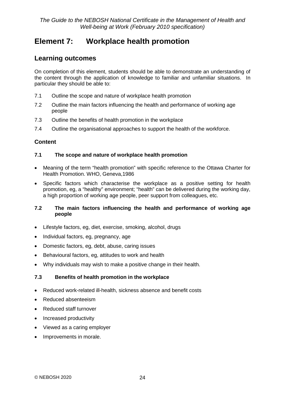# <span id="page-27-0"></span>**Element 7: Workplace health promotion**

## **Learning outcomes**

On completion of this element, students should be able to demonstrate an understanding of the content through the application of knowledge to familiar and unfamiliar situations. In particular they should be able to:

- 7.1 Outline the scope and nature of workplace health promotion
- 7.2 Outline the main factors influencing the health and performance of working age people
- 7.3 Outline the benefits of health promotion in the workplace
- 7.4 Outline the organisational approaches to support the health of the workforce.

## **Content**

#### **7.1 The scope and nature of workplace health promotion**

- Meaning of the term "health promotion" with specific reference to the Ottawa Charter for Health Promotion. WHO, Geneva,1986
- Specific factors which characterise the workplace as a positive setting for health promotion, eg, a "healthy" environment; "health" can be delivered during the working day, a high proportion of working age people, peer support from colleagues, etc.

#### **7.2 The main factors influencing the health and performance of working age people**

- Lifestyle factors, eg, diet, exercise, smoking, alcohol, drugs
- Individual factors, eg, pregnancy, age
- Domestic factors, eg, debt, abuse, caring issues
- Behavioural factors, eg, attitudes to work and health
- Why individuals may wish to make a positive change in their health.

### **7.3 Benefits of health promotion in the workplace**

- Reduced work-related ill-health, sickness absence and benefit costs
- Reduced absenteeism
- Reduced staff turnover
- Increased productivity
- Viewed as a caring employer
- Improvements in morale.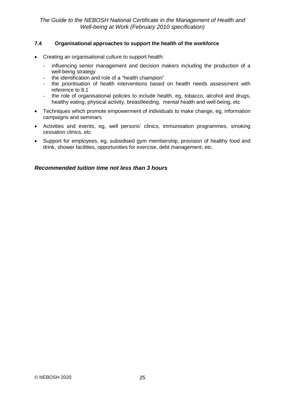#### **7.4 Organisational approaches to support the health of the workforce**

- Creating an organisational culture to support health:
	- influencing senior management and decision makers including the production of a well-being strategy
	- the identification and role of a "health champion"
	- the prioritisation of health interventions based on health needs assessment with reference to 8.1
	- the role of organisational policies to include health, eg, [tobacco,](http://www.healthatwork.org.uk/work/smoking.asp) [alcohol and drugs,](http://www.healthatwork.org.uk/work/alcohol.asp) [healthy eating,](http://www.healthatwork.org.uk/work/eating.asp) [physical activity,](http://www.healthatwork.org.uk/work/physical.asp) [breastfeeding,](http://www.healthatwork.org.uk/work/women.asp) mental health and well-being, etc
- Techniques which promote empowerment of individuals to make change, eg, information campaigns and seminars
- Activities and events, eg, well persons' clinics, immunisation programmes, smoking cessation clinics, etc
- Support for employees, eg, subsidised gym membership, provision of healthy food and drink, shower facilities, opportunities for exercise, debt management, etc.

#### *Recommended tuition time not less than 3 hours*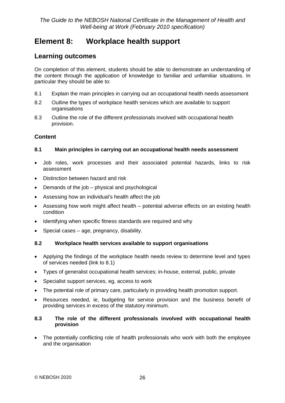# <span id="page-29-0"></span>**Element 8: Workplace health support**

## **Learning outcomes**

On completion of this element, students should be able to demonstrate an understanding of the content through the application of knowledge to familiar and unfamiliar situations. In particular they should be able to:

- 8.1 Explain the main principles in carrying out an occupational health needs assessment
- 8.2 Outline the types of workplace health services which are available to support organisations
- 8.3 Outline the role of the different professionals involved with occupational health provision.

## **Content**

#### **8.1 Main principles in carrying out an occupational health needs assessment**

- Job roles, work processes and their associated potential hazards, links to risk assessment
- Distinction between hazard and risk
- Demands of the job physical and psychological
- Assessing how an individual's health affect the job
- Assessing how work might affect health potential adverse effects on an existing health condition
- Identifying when specific fitness standards are required and why
- Special cases age, pregnancy, disability.

#### **8.2 Workplace health services available to support organisations**

- Applying the findings of the workplace health needs review to determine level and types of services needed (link to 8.1)
- Types of generalist occupational health services; in-house, external, public, private
- Specialist support services, eg, access to work
- The potential role of primary care, particularly in providing health promotion support.
- Resources needed, ie, budgeting for service provision and the business benefit of providing services in excess of the statutory minimum.

#### **8.3 The role of the different professionals involved with occupational health provision**

• The potentially conflicting role of health professionals who work with both the employee and the organisation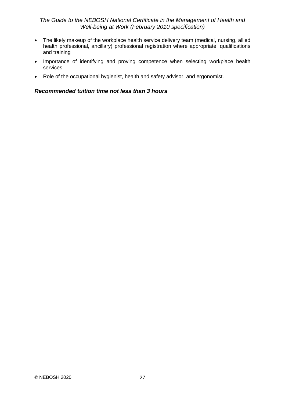- The likely makeup of the workplace health service delivery team (medical, nursing, allied health professional, ancillary) professional registration where appropriate, qualifications and training
- Importance of identifying and proving competence when selecting workplace health services
- Role of the occupational hygienist, health and safety advisor, and ergonomist.

### *Recommended tuition time not less than 3 hours*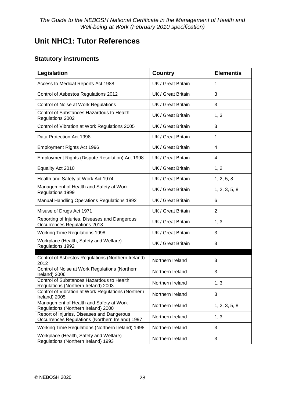# <span id="page-31-0"></span>**Unit NHC1: Tutor References**

# **Statutory instruments**

| Legislation                                                                                   | <b>Country</b>     | Element/s      |
|-----------------------------------------------------------------------------------------------|--------------------|----------------|
| Access to Medical Reports Act 1988                                                            | UK / Great Britain | 1              |
| Control of Asbestos Regulations 2012                                                          | UK / Great Britain | 3              |
| Control of Noise at Work Regulations                                                          | UK / Great Britain | 3              |
| Control of Substances Hazardous to Health<br>Regulations 2002                                 | UK / Great Britain | 1, 3           |
| Control of Vibration at Work Regulations 2005                                                 | UK / Great Britain | 3              |
| Data Protection Act 1998                                                                      | UK / Great Britain | 1              |
| Employment Rights Act 1996                                                                    | UK / Great Britain | 4              |
| Employment Rights (Dispute Resolution) Act 1998                                               | UK / Great Britain | 4              |
| Equality Act 2010                                                                             | UK / Great Britain | 1, 2           |
| Health and Safety at Work Act 1974                                                            | UK / Great Britain | 1, 2, 5, 8     |
| Management of Health and Safety at Work<br>Regulations 1999                                   | UK / Great Britain | 1, 2, 3, 5, 8  |
| <b>Manual Handling Operations Regulations 1992</b>                                            | UK / Great Britain | 6              |
| Misuse of Drugs Act 1971                                                                      | UK / Great Britain | $\overline{2}$ |
| Reporting of Injuries, Diseases and Dangerous<br>Occurrences Regulations 2013                 | UK / Great Britain | 1, 3           |
| <b>Working Time Regulations 1998</b>                                                          | UK / Great Britain | 3              |
| Workplace (Health, Safety and Welfare)<br>Regulations 1992                                    | UK / Great Britain | 3              |
| Control of Asbestos Regulations (Northern Ireland)                                            | Northern Ireland   | 3              |
| 2012<br>Control of Noise at Work Regulations (Northern<br>Ireland) 2006                       | Northern Ireland   | 3              |
| Control of Substances Hazardous to Health<br>Regulations (Northern Ireland) 2003              | Northern Ireland   | 1, 3           |
| Control of Vibration at Work Regulations (Northern<br>Ireland) 2005                           | Northern Ireland   | 3              |
| Management of Health and Safety at Work<br>Regulations (Northern Ireland) 2000                | Northern Ireland   | 1, 2, 3, 5, 8  |
| Report of Injuries, Diseases and Dangerous<br>Occurrences Regulations (Northern Ireland) 1997 | Northern Ireland   | 1, 3           |
| Working Time Regulations (Northern Ireland) 1998                                              | Northern Ireland   | 3              |
| Workplace (Health, Safety and Welfare)<br>Regulations (Northern Ireland) 1993                 | Northern Ireland   | 3              |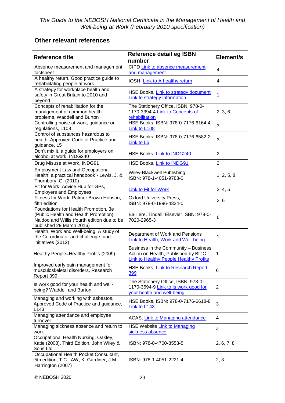# **Other relevant references**

| <b>Reference title</b>                                                                                                                                   | <b>Reference detail eg ISBN</b><br>number                                                                                    | Element/s      |
|----------------------------------------------------------------------------------------------------------------------------------------------------------|------------------------------------------------------------------------------------------------------------------------------|----------------|
| Absence measurement and management<br>factsheet                                                                                                          | CIPD Link to absence measurement<br>and management                                                                           | 4              |
| A healthy return, Good practice guide to<br>rehabilitating people at work                                                                                | IOSH, Link to A healthy return                                                                                               | 4              |
| A strategy for workplace health and<br>safety in Great Britain to 2010 and<br>beyond                                                                     | HSE Books, Link to strategy document<br>Link to strategy information                                                         | 1              |
| Concepts of rehabilitation for the<br>management of common health<br>problems, Waddell and Burton                                                        | The Stationery Office, ISBN: 978-0-<br>1170-3394-4 Link to Concepts of<br>rehabilitation                                     | 2, 3, 6        |
| Controlling noise at work, guidance on<br>regulations, L108                                                                                              | HSE Books, ISBN: 978-0-7176-6164-4<br>Link to L108                                                                           | 3              |
| Control of substances hazardous to<br>health, Approved Code of Practice and<br>guidance, L5                                                              | HSE Books, ISBN: 978-0-7176-6582-2<br>Link to L5                                                                             | 3              |
| Don't mix it, a guide for employers on<br>alcohol at work, INDG240                                                                                       | HSE Books, Link to INDG240                                                                                                   | $\overline{2}$ |
| Drug Misuse at Work, INDG91                                                                                                                              | HSE Books, Link to INDG91                                                                                                    | $\overline{2}$ |
| <b>Employment Law and Occupational</b><br>Health: a practical handbook - Lewis, J. &<br>Thornbory, G. (2010)                                             | Wiley-Blackwell Publishing,<br>ISBN: 978-1-4051-9783-0                                                                       | 1, 2, 5, 8     |
| Fit for Work, Advice Hub for GPs,<br><b>Employers and Employees</b>                                                                                      | <b>Link to Fit for Work</b>                                                                                                  | 2, 4, 5        |
| Fitness for Work, Palmer Brown Hobson,<br>fifth edition                                                                                                  | <b>Oxford University Press,</b><br>ISBN: 978-0-1996-4324-0                                                                   | 2, 6           |
| Foundations for Health Promotion, 3e<br>(Public Health and Health Promotion),<br>Naidoo and Willis (fourth edition due to be<br>published 29 March 2016) | Bailliere, Tindall, Elsevier ISBN: 978-0-<br>7020-2965-3                                                                     | 6              |
| Health, Work and Well-being: A study of<br>the Co-ordinator and challenge fund<br>initiatives (2012)                                                     | Department of Work and Pensions<br>Link to Health, Work and Well-being                                                       | 1              |
| Healthy People=Healthy Profits (2009)                                                                                                                    | Business in the Community - Business<br>Action on Health, Published by BITC<br><b>Link to Healthy People Healthy Profits</b> | 1              |
| Improved early pain management for<br>musculoskeletal disorders, Research<br>Report 399                                                                  | HSE Books, Link to Research Report<br>399                                                                                    | 6              |
| Is work good for your health and well-<br>being? Waddell and Burton.                                                                                     | The Stationery Office, ISBN: 978-0-<br>1170-3694-9 Link to Is work good for<br>your health and well-being                    | 2              |
| Managing and working with asbestos,<br>Approved Code of Practice and guidance,<br>L <sub>143</sub>                                                       | HSE Books, ISBN: 978-0-7176-6618-8<br>Link to L143                                                                           | 3              |
| Managing attendance and employee<br>turnover                                                                                                             | ACAS, Link to Managing attendance                                                                                            | 4              |
| Managing sickness absence and return to<br>work                                                                                                          | <b>HSE Website Link to Managing</b><br>sickness absence                                                                      | 4              |
| Occupational Health Nursing, Oakley,<br>Katie (2008), Third Edition, John Wiley &<br>Sons Ltd                                                            | ISBN: 978-0-4700-3553-5                                                                                                      | 2, 6, 7, 8     |
| Occupational Health Pocket Consultant,<br>5th edition, T.C., AW, K. Gardiner, J.M.<br>Harrington (2007)                                                  | ISBN: 978-1-4051-2221-4                                                                                                      | 2, 3           |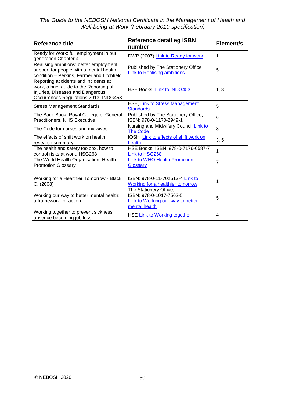| Reference title                                                                                                                                              | <b>Reference detail eg ISBN</b><br>number                                                               | Element/s      |
|--------------------------------------------------------------------------------------------------------------------------------------------------------------|---------------------------------------------------------------------------------------------------------|----------------|
| Ready for Work: full employment in our<br>generation Chapter 4                                                                                               | DWP (2007) Link to Ready for work                                                                       | 1              |
| Realising ambitions: better employment<br>support for people with a mental health<br>condition - Perkins, Farmer and Litchfield                              | Published by The Stationery Office<br><b>Link to Realising ambitions</b>                                | 5              |
| Reporting accidents and incidents at<br>work, a brief guide to the Reporting of<br>Injuries, Diseases and Dangerous<br>Occurrences Regulations 2013, INDG453 | HSE Books, Link to INDG453                                                                              | 1, 3           |
| <b>Stress Management Standards</b>                                                                                                                           | HSE, Link to Stress Management<br><b>Standards</b>                                                      | 5              |
| The Back Book, Royal College of General<br>Practitioners, NHS Executive                                                                                      | Published by The Stationery Office,<br>ISBN: 978-0-1170-2949-1                                          | $6\phantom{1}$ |
| The Code for nurses and midwives                                                                                                                             | Nursing and Midwifery Council Link to<br><b>The Code</b>                                                | 8              |
| The effects of shift work on health,<br>research summary                                                                                                     | IOSH, Link to effects of shift work on<br>health                                                        | 3, 5           |
| The health and safety toolbox, how to<br>control risks at work, HSG268                                                                                       | HSE Books, ISBN: 978-0-7176-6587-7<br>Link to HSG268                                                    | 1              |
| The World Health Organisation, Health<br><b>Promotion Glossary</b>                                                                                           | Link to WHO Health Promotion<br>Glossary                                                                | 7              |
|                                                                                                                                                              |                                                                                                         |                |
| Working for a Healthier Tomorrow - Black,<br>C. (2008)                                                                                                       | ISBN: 978-0-11-702513-4 Link to<br><b>Working for a healthier tomorrow</b>                              | 1              |
| Working our way to better mental health:<br>a framework for action                                                                                           | The Stationery Office,<br>ISBN: 978-0-1017-7562-5<br>Link to Working our way to better<br>mental health | 5              |
| Working together to prevent sickness<br>absence becoming job loss                                                                                            | HSE Link to Working together                                                                            | 4              |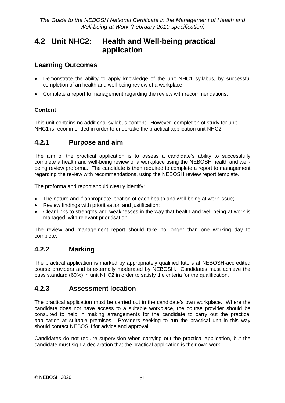# <span id="page-34-0"></span>**4.2 Unit NHC2: Health and Well-being practical application**

# **Learning Outcomes**

- Demonstrate the ability to apply knowledge of the unit NHC1 syllabus, by successful completion of an health and well-being review of a workplace
- Complete a report to management regarding the review with recommendations.

## **Content**

This unit contains no additional syllabus content. However, completion of study for unit NHC1 is recommended in order to undertake the practical application unit NHC2.

# <span id="page-34-1"></span>**4.2.1 Purpose and aim**

The aim of the practical application is to assess a candidate's ability to successfully complete a health and well-being review of a workplace using the NEBOSH health and wellbeing review proforma. The candidate is then required to complete a report to management regarding the review with recommendations, using the NEBOSH review report template.

The proforma and report should clearly identify:

- The nature and if appropriate location of each health and well-being at work issue;
- Review findings with prioritisation and justification;
- Clear links to strengths and weaknesses in the way that health and well-being at work is managed, with relevant prioritisation.

The review and management report should take no longer than one working day to complete.

## <span id="page-34-2"></span>**4.2.2 Marking**

The practical application is marked by appropriately qualified tutors at NEBOSH-accredited course providers and is externally moderated by NEBOSH. Candidates must achieve the pass standard (60%) in unit NHC2 in order to satisfy the criteria for the qualification.

# <span id="page-34-3"></span>**4.2.3 Assessment location**

The practical application must be carried out in the candidate's own workplace. Where the candidate does not have access to a suitable workplace, the course provider should be consulted to help in making arrangements for the candidate to carry out the practical application at suitable premises. Providers seeking to run the practical unit in this way should contact NEBOSH for advice and approval.

Candidates do not require supervision when carrying out the practical application, but the candidate must sign a declaration that the practical application is their own work.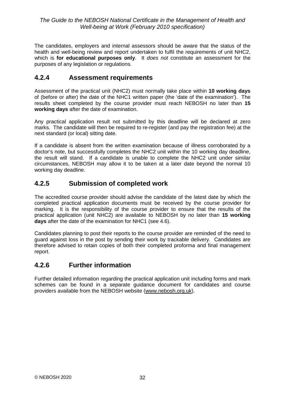The candidates, employers and internal assessors should be aware that the status of the health and well-being review and report undertaken to fulfil the requirements of unit NHC2, which is **for educational purposes only**. It *does not* constitute an assessment for the purposes of any legislation or regulations.

## <span id="page-35-0"></span>**4.2.4 Assessment requirements**

Assessment of the practical unit (NHC2) must normally take place within **10 working days**  of (before or after) the date of the NHC1 written paper (the 'date of the examination'). The results sheet completed by the course provider must reach NEBOSH no later than **15 working days** after the date of examination.

Any practical application result not submitted by this deadline will be declared at zero marks. The candidate will then be required to re-register (and pay the registration fee) at the next standard (or local) sitting date.

If a candidate is absent from the written examination because of illness corroborated by a doctor's note, but successfully completes the NHC2 unit within the 10 working day deadline, the result will stand. If a candidate is unable to complete the NHC2 unit under similar circumstances, NEBOSH may allow it to be taken at a later date beyond the normal 10 working day deadline.

## <span id="page-35-1"></span>**4.2.5 Submission of completed work**

The accredited course provider should advise the candidate of the latest date by which the completed practical application documents must be received by the course provider for marking. It is the responsibility of the course provider to ensure that the results of the practical application (unit NHC2) are available to NEBOSH by no later than **15 working days** after the date of the examination for NHC1 (see 4.6).

Candidates planning to post their reports to the course provider are reminded of the need to guard against loss in the post by sending their work by trackable delivery. Candidates are therefore advised to retain copies of both their completed proforma and final management report.

## <span id="page-35-2"></span>**4.2.6 Further information**

Further detailed information regarding the practical application unit including forms and mark schemes can be found in a separate guidance document for candidates and course providers available from the NEBOSH website [\(www.nebosh.org.uk\)](http://www.nebosh.org.uk/).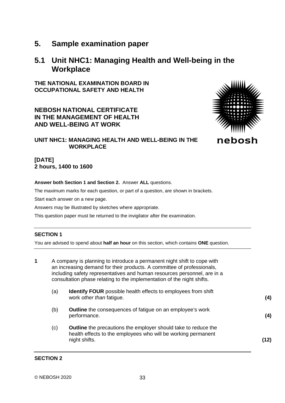# <span id="page-36-0"></span>**5. Sample examination paper**

# <span id="page-36-1"></span>**5.1 Unit NHC1: Managing Health and Well-being in the Workplace**

**THE NATIONAL EXAMINATION BOARD IN OCCUPATIONAL SAFETY AND HEALTH**

**NEBOSH NATIONAL CERTIFICATE IN THE MANAGEMENT OF HEALTH AND WELL-BEING AT WORK**



## **UNIT NHC1: MANAGING HEALTH AND WELL-BEING IN THE WORKPLACE**

#### **[DATE] 2 hours, 1400 to 1600**

#### **Answer both Section 1 and Section 2.** Answer **ALL** questions.

The maximum marks for each question, or part of a question, are shown in brackets.

Start each answer on a new page.

Answers may be illustrated by sketches where appropriate.

This question paper must be returned to the invigilator after the examination.

#### **SECTION 1**

You are advised to spend about **half an hour** on this section, which contains **ONE** question.

| 1 |     | A company is planning to introduce a permanent night shift to cope with<br>an increasing demand for their products. A committee of professionals,<br>including safety representatives and human resources personnel, are in a<br>consultation phase relating to the implementation of the night shifts. |      |
|---|-----|---------------------------------------------------------------------------------------------------------------------------------------------------------------------------------------------------------------------------------------------------------------------------------------------------------|------|
|   | (a) | <b>Identify FOUR</b> possible health effects to employees from shift<br>work other than fatigue.                                                                                                                                                                                                        | (4)  |
|   | (b) | <b>Outline</b> the consequences of fatigue on an employee's work<br>performance.                                                                                                                                                                                                                        | (4)  |
|   | (c) | <b>Outline</b> the precautions the employer should take to reduce the<br>health effects to the employees who will be working permanent<br>night shifts.                                                                                                                                                 | (12) |

#### **SECTION 2**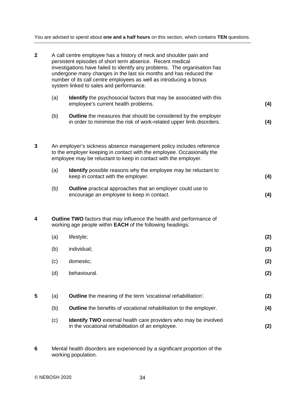You are advised to spend about **one and a half hours** on this section, which contains **TEN** questions.

| $\mathbf{2}$ | A call centre employee has a history of neck and shoulder pain and<br>persistent episodes of short term absence. Recent medical<br>investigations have failed to identify any problems. The organisation has<br>undergone many changes in the last six months and has reduced the<br>number of its call centre employees as well as introducing a bonus<br>system linked to sales and performance. |                                                                                                                                              |     |  |  |  |  |
|--------------|----------------------------------------------------------------------------------------------------------------------------------------------------------------------------------------------------------------------------------------------------------------------------------------------------------------------------------------------------------------------------------------------------|----------------------------------------------------------------------------------------------------------------------------------------------|-----|--|--|--|--|
|              | (a)                                                                                                                                                                                                                                                                                                                                                                                                | <b>Identify</b> the psychosocial factors that may be associated with this<br>employee's current health problems.                             |     |  |  |  |  |
|              | (b)                                                                                                                                                                                                                                                                                                                                                                                                | <b>Outline</b> the measures that should be considered by the employer<br>in order to minimise the risk of work-related upper limb disorders. |     |  |  |  |  |
| 3            | An employer's sickness absence management policy includes reference<br>to the employer keeping in contact with the employee. Occasionally the<br>employee may be reluctant to keep in contact with the employer.                                                                                                                                                                                   |                                                                                                                                              |     |  |  |  |  |
|              | (a)                                                                                                                                                                                                                                                                                                                                                                                                | <b>Identify</b> possible reasons why the employee may be reluctant to<br>keep in contact with the employer.                                  | (4) |  |  |  |  |
|              | (b)                                                                                                                                                                                                                                                                                                                                                                                                | Outline practical approaches that an employer could use to<br>encourage an employee to keep in contact.                                      | (4) |  |  |  |  |
| 4            |                                                                                                                                                                                                                                                                                                                                                                                                    | <b>Outline TWO</b> factors that may influence the health and performance of<br>working age people within EACH of the following headings:     |     |  |  |  |  |
|              | (a)                                                                                                                                                                                                                                                                                                                                                                                                | lifestyle;                                                                                                                                   | (2) |  |  |  |  |
|              | (b)                                                                                                                                                                                                                                                                                                                                                                                                | individual;                                                                                                                                  | (2) |  |  |  |  |
|              | (c)                                                                                                                                                                                                                                                                                                                                                                                                | domestic;                                                                                                                                    | (2) |  |  |  |  |
|              | (d)                                                                                                                                                                                                                                                                                                                                                                                                | behavioural.                                                                                                                                 | (2) |  |  |  |  |
| 5            | (a)                                                                                                                                                                                                                                                                                                                                                                                                | Outline the meaning of the term 'vocational rehabilitation'.                                                                                 | (2) |  |  |  |  |
|              | (b)                                                                                                                                                                                                                                                                                                                                                                                                | Outline the benefits of vocational rehabilitation to the employer.                                                                           | (4) |  |  |  |  |
|              | (c)                                                                                                                                                                                                                                                                                                                                                                                                | Identify TWO external health care providers who may be involved<br>in the vocational rehabilitation of an employee.                          |     |  |  |  |  |
|              |                                                                                                                                                                                                                                                                                                                                                                                                    |                                                                                                                                              |     |  |  |  |  |

**6** Mental health disorders are experienced by a significant proportion of the working population.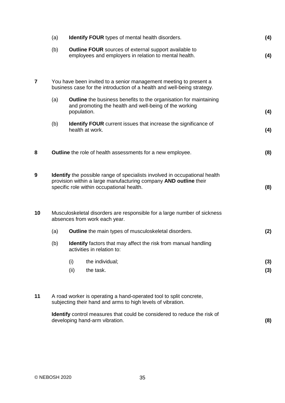|                         | (a)                                                                                                                                                                                                | <b>Identify FOUR</b> types of mental health disorders.                                                                                       |                                                                                                                                    |     |  |  |
|-------------------------|----------------------------------------------------------------------------------------------------------------------------------------------------------------------------------------------------|----------------------------------------------------------------------------------------------------------------------------------------------|------------------------------------------------------------------------------------------------------------------------------------|-----|--|--|
|                         | (b)                                                                                                                                                                                                |                                                                                                                                              | <b>Outline FOUR</b> sources of external support available to<br>employees and employers in relation to mental health.              | (4) |  |  |
| $\overline{\mathbf{z}}$ |                                                                                                                                                                                                    | You have been invited to a senior management meeting to present a<br>business case for the introduction of a health and well-being strategy. |                                                                                                                                    |     |  |  |
|                         | (a)                                                                                                                                                                                                | population.                                                                                                                                  | <b>Outline</b> the business benefits to the organisation for maintaining<br>and promoting the health and well-being of the working | (4) |  |  |
|                         | (b)                                                                                                                                                                                                |                                                                                                                                              | <b>Identify FOUR</b> current issues that increase the significance of<br>health at work.                                           | (4) |  |  |
| 8                       | <b>Outline</b> the role of health assessments for a new employee.                                                                                                                                  |                                                                                                                                              |                                                                                                                                    |     |  |  |
| $\boldsymbol{9}$        | <b>Identify</b> the possible range of specialists involved in occupational health<br>provision within a large manufacturing company AND outline their<br>specific role within occupational health. |                                                                                                                                              |                                                                                                                                    |     |  |  |
| 10                      | Musculoskeletal disorders are responsible for a large number of sickness<br>absences from work each year.                                                                                          |                                                                                                                                              |                                                                                                                                    |     |  |  |
|                         | (a)                                                                                                                                                                                                | (2)<br><b>Outline</b> the main types of musculoskeletal disorders.                                                                           |                                                                                                                                    |     |  |  |
|                         | (b)                                                                                                                                                                                                |                                                                                                                                              | <b>Identify</b> factors that may affect the risk from manual handling<br>activities in relation to:                                |     |  |  |
|                         |                                                                                                                                                                                                    | (i)                                                                                                                                          | the individual;                                                                                                                    | (3) |  |  |
|                         |                                                                                                                                                                                                    | (ii)                                                                                                                                         | the task.                                                                                                                          | (3) |  |  |
| 11                      | A road worker is operating a hand-operated tool to split concrete,<br>subjecting their hand and arms to high levels of vibration.                                                                  |                                                                                                                                              |                                                                                                                                    |     |  |  |
|                         | <b>Identify</b> control measures that could be considered to reduce the risk of<br>developing hand-arm vibration.                                                                                  |                                                                                                                                              |                                                                                                                                    |     |  |  |